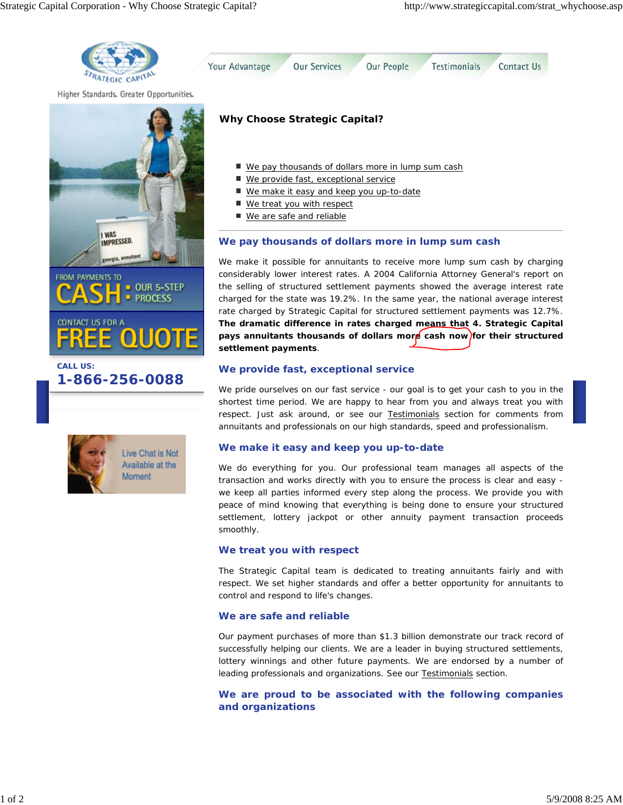



# **CALL US: 1-866-256-0088**



We make it possible for annuitants to receive more lump sum cash by charging considerably lower interest rates. A 2004 California Attorney General's report on the selling of structured settlement payments showed the average interest rate charged for the state was 19.2%. In the same year, the national average interest rate charged by Strategic Capital for structured settlement payments was 12.7%. **The dramatic difference in rates charged means that 4. Strategic Capital** pays annuitants thousands of dollars more cash now for their structured **settlement payments**.

## **We provide fast, exceptional service**

We pride ourselves on our fast service - our goal is to get your cash to you in the shortest time period. We are happy to hear from you and always treat you with respect. Just ask around, or see our Testimonials section for comments from annuitants and professionals on our high standards, speed and professionalism.

### **We make it easy and keep you up-to-date**

We do everything for you. Our professional team manages all aspects of the transaction and works directly with you to ensure the process is clear and easy we keep all parties informed every step along the process. We provide you with peace of mind knowing that everything is being done to ensure your structured settlement, lottery jackpot or other annuity payment transaction proceeds smoothly.

### **We treat you with respect**

The Strategic Capital team is dedicated to treating annuitants fairly and with respect. We set higher standards and offer a better opportunity for annuitants to control and respond to life's changes.

### **We are safe and reliable**

Our payment purchases of more than \$1.3 billion demonstrate our track record of successfully helping our clients. We are a leader in buying structured settlements, lottery winnings and other future payments. We are endorsed by a number of leading professionals and organizations. See our Testimonials section.

**We are proud to be associated with the following companies and organizations**